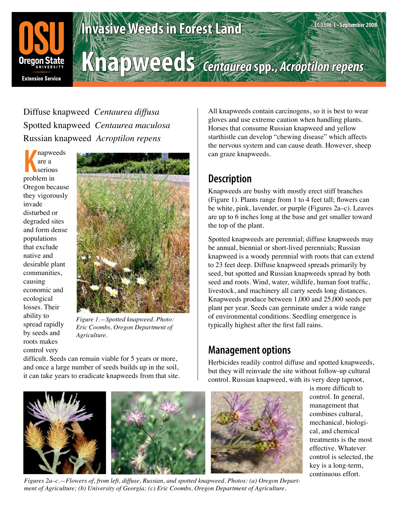

# **Invasive Weeds in Forest Land**

**Knapweeds** *Centaurea* **spp.,** *Acroptilon repens*

Diffuse knapweed *Centaurea diffusa* Spotted knapweed *Centaurea maculosa* Russian knapweed *Acroptilon repens*

**K** problem in napweeds are a serious Oregon because they vigorously invade disturbed or degraded sites and form dense populations that exclude native and desirable plant communities, causing economic and ecological losses. Their ability to spread rapidly by seeds and roots makes control very



*Figure 1.—Spotted knapweed. Photo: Eric Coombs, Oregon Department of Agriculture.*

difficult. Seeds can remain viable for 5 years or more, and once a large number of seeds builds up in the soil, it can take years to eradicate knapweeds from that site.

All knapweeds contain carcinogens, so it is best to wear gloves and use extreme caution when handling plants. Horses that consume Russian knapweed and yellow starthistle can develop "chewing disease" which affects the nervous system and can cause death. However, sheep can graze knapweeds.

**EC 1596-E • September 2008**

## **Description**

Knapweeds are bushy with mostly erect stiff branches (Figure 1). Plants range from 1 to 4 feet tall; flowers can be white, pink, lavender, or purple (Figures 2a–c). Leaves are up to 6 inches long at the base and get smaller toward the top of the plant.

Spotted knapweeds are perennial; diffuse knapweeds may be annual, biennial or short-lived perennials; Russian knapweed is a woody perennial with roots that can extend to 23 feet deep. Diffuse knapweed spreads primarily by seed, but spotted and Russian knapweeds spread by both seed and roots. Wind, water, wildlife, human foot traffic, livestock, and machinery all carry seeds long distances. Knapweeds produce between 1,000 and 25,000 seeds per plant per year. Seeds can germinate under a wide range of environmental conditions. Seedling emergence is typically highest after the first fall rains.

### **Management options**

Herbicides readily control diffuse and spotted knapweeds, but they will reinvade the site without follow-up cultural control. Russian knapweed, with its very deep taproot,



*Figures 2a–c.—Flowers of, from left, diffuse, Russian, and spotted knapweed. Photos: (a) Oregon Department of Agriculture; (b) University of Georgia; (c) Eric Coombs, Oregon Department of Agriculture.*

is more difficult to control. In general, management that combines cultural, mechanical, biological, and chemical treatments is the most effective. Whatever control is selected, the key is a long-term, continuous effort.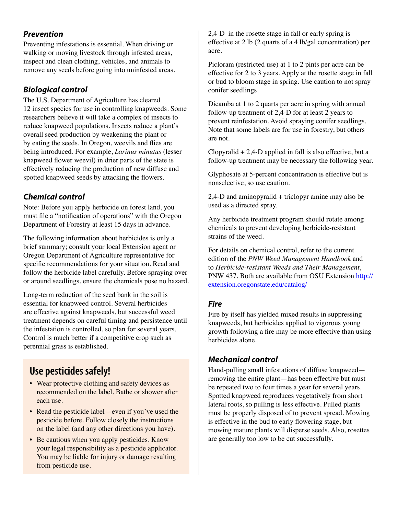### *Prevention*

Preventing infestations is essential. When driving or walking or moving livestock through infested areas, inspect and clean clothing, vehicles, and animals to remove any seeds before going into uninfested areas.

### *Biological control*

The U.S. Department of Agriculture has cleared 12 insect species for use in controlling knapweeds. Some researchers believe it will take a complex of insects to reduce knapweed populations. Insects reduce a plant's overall seed production by weakening the plant or by eating the seeds. In Oregon, weevils and flies are being introduced. For example, *Larinus minutus* (lesser knapweed flower weevil) in drier parts of the state is effectively reducing the production of new diffuse and spotted knapweed seeds by attacking the flowers.

### *Chemical control*

Note: Before you apply herbicide on forest land, you must file a "notification of operations" with the Oregon Department of Forestry at least 15 days in advance.

The following information about herbicides is only a brief summary; consult your local Extension agent or Oregon Department of Agriculture representative for specific recommendations for your situation. Read and follow the herbicide label carefully. Before spraying over or around seedlings, ensure the chemicals pose no hazard.

Long-term reduction of the seed bank in the soil is essential for knapweed control. Several herbicides are effective against knapweeds, but successful weed treatment depends on careful timing and persistence until the infestation is controlled, so plan for several years. Control is much better if a competitive crop such as perennial grass is established.

### **Use pesticides safely!**

- Wear protective clothing and safety devices as recommended on the label. Bathe or shower after each use.
- Read the pesticide label—even if you've used the pesticide before. Follow closely the instructions on the label (and any other directions you have).
- Be cautious when you apply pesticides. Know your legal responsibility as a pesticide applicator. You may be liable for injury or damage resulting from pesticide use.

2,4-D in the rosette stage in fall or early spring is effective at 2 lb (2 quarts of a 4 lb/gal concentration) per acre.

Picloram (restricted use) at 1 to 2 pints per acre can be effective for 2 to 3 years. Apply at the rosette stage in fall or bud to bloom stage in spring. Use caution to not spray conifer seedlings.

Dicamba at 1 to 2 quarts per acre in spring with annual follow-up treatment of 2,4-D for at least 2 years to prevent reinfestation. Avoid spraying conifer seedlings. Note that some labels are for use in forestry, but others are not.

Clopyralid  $+ 2,4$ -D applied in fall is also effective, but a follow-up treatment may be necessary the following year.

Glyphosate at 5-percent concentration is effective but is nonselective, so use caution.

2,4-D and aminopyralid + triclopyr amine may also be used as a directed spray.

Any herbicide treatment program should rotate among chemicals to prevent developing herbicide-resistant strains of the weed.

For details on chemical control, refer to the current edition of the *PNW Weed Management Handbook* and to *Herbicide-resistant Weeds and Their Management*, PNW 437. Both are available from OSU Extension http:// extension.oregonstate.edu/catalog/

#### *Fire*

Fire by itself has yielded mixed results in suppressing knapweeds, but herbicides applied to vigorous young growth following a fire may be more effective than using herbicides alone.

#### *Mechanical control*

Hand-pulling small infestations of diffuse knapweed removing the entire plant—has been effective but must be repeated two to four times a year for several years. Spotted knapweed reproduces vegetatively from short lateral roots, so pulling is less effective. Pulled plants must be properly disposed of to prevent spread. Mowing is effective in the bud to early flowering stage, but mowing mature plants will disperse seeds. Also, rosettes are generally too low to be cut successfully.